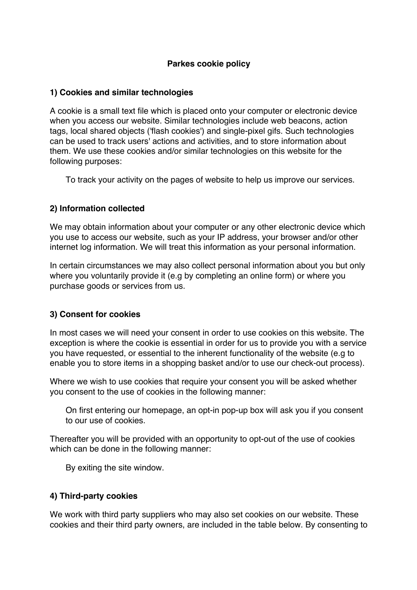# **Parkes cookie policy**

## **1) Cookies and similar technologies**

A cookie is a small text file which is placed onto your computer or electronic device when you access our website. Similar technologies include web beacons, action tags, local shared objects ('flash cookies') and single-pixel gifs. Such technologies can be used to track users' actions and activities, and to store information about them. We use these cookies and/or similar technologies on this website for the following purposes:

To track your activity on the pages of website to help us improve our services.

## **2) Information collected**

We may obtain information about your computer or any other electronic device which you use to access our website, such as your IP address, your browser and/or other internet log information. We will treat this information as your personal information.

In certain circumstances we may also collect personal information about you but only where you voluntarily provide it (e.g by completing an online form) or where you purchase goods or services from us.

#### **3) Consent for cookies**

In most cases we will need your consent in order to use cookies on this website. The exception is where the cookie is essential in order for us to provide you with a service you have requested, or essential to the inherent functionality of the website (e.g to enable you to store items in a shopping basket and/or to use our check-out process).

Where we wish to use cookies that require your consent you will be asked whether you consent to the use of cookies in the following manner:

On first entering our homepage, an opt-in pop-up box will ask you if you consent to our use of cookies.

Thereafter you will be provided with an opportunity to opt-out of the use of cookies which can be done in the following manner:

By exiting the site window.

## **4) Third-party cookies**

We work with third party suppliers who may also set cookies on our website. These cookies and their third party owners, are included in the table below. By consenting to